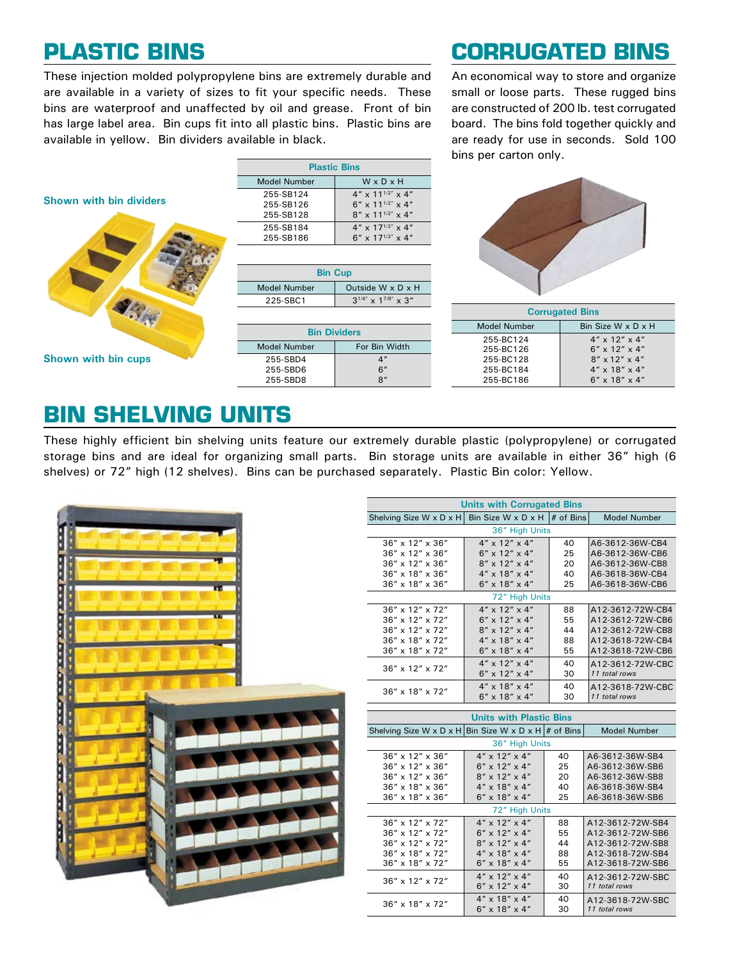These injection molded polypropylene bins are extremely durable and are available in a variety of sizes to fit your specific needs. These bins are waterproof and unaffected by oil and grease. Front of bin has large label area. Bin cups fit into all plastic bins. Plastic bins are available in yellow. Bin dividers available in black.

# **Plastic Bins Corrugated Bins**

An economical way to store and organize small or loose parts. These rugged bins are constructed of 200 lb. test corrugated board. The bins fold together quickly and are ready for use in seconds. Sold 100 bins per carton only.



**Shown with bin cups**

| <b>Plastic Bins</b> |                                    |  |  |  |
|---------------------|------------------------------------|--|--|--|
| Model Number        | WxDxH                              |  |  |  |
| 255-SB124           | $4'' \times 11^{1/2''} \times 4''$ |  |  |  |
| 255-SB126           | $6''$ x 11 <sup>1/2"</sup> x 4"    |  |  |  |
| 255-SB128           | $8'' \times 11^{1/2''} \times 4''$ |  |  |  |
| 255-SB184           | $4'' \times 17^{1/2''} \times 4''$ |  |  |  |
| 255-SB186           | $6'' \times 17^{1/2''} \times 4''$ |  |  |  |

| <b>Bin Cup</b>           |                                   |  |  |  |
|--------------------------|-----------------------------------|--|--|--|
|                          |                                   |  |  |  |
| <b>Model Number</b>      | Outside $W \times D \times H$     |  |  |  |
| 225-SBC1                 | $3^{1/4''}$ x $1^{7/8''}$ x $3''$ |  |  |  |
|                          |                                   |  |  |  |
|                          |                                   |  |  |  |
| <b>PERSONAL PROPERTY</b> |                                   |  |  |  |

255-SBD4 255-SBD6 255-SBD8





### **Bin shelving Units**

These highly efficient bin shelving units feature our extremely durable plastic (polypropylene) or corrugated storage bins and are ideal for organizing small parts. Bin storage units are available in either 36" high (6 shelves) or 72" high (12 shelves). Bins can be purchased separately. Plastic Bin color: Yellow.



| <b>Units with Corrugated Bins</b>                                           |                                |                     |                  |  |  |  |  |
|-----------------------------------------------------------------------------|--------------------------------|---------------------|------------------|--|--|--|--|
| Shelving Size W x D x H                                                     | Bin Size W x D x H             | <b>Model Number</b> |                  |  |  |  |  |
| # of Bins<br>36" High Units                                                 |                                |                     |                  |  |  |  |  |
| 36" x 12" x 36"                                                             | $4'' \times 12'' \times 4''$   | 40                  | A6-3612-36W-CB4  |  |  |  |  |
| 36" x 12" x 36"                                                             | $6'' \times 12'' \times 4''$   | 25                  | A6-3612-36W-CB6  |  |  |  |  |
| 36" x 12" x 36"                                                             | 8" x 12" x 4"                  | 20                  | A6-3612-36W-CB8  |  |  |  |  |
| $36'' \times 18'' \times 36''$                                              | 4" x 18" x 4"                  | 40                  | A6-3618-36W-CB4  |  |  |  |  |
| 36" x 18" x 36"                                                             | $6''$ x $18''$ x $4''$         | 25                  | A6-3618-36W-CB6  |  |  |  |  |
|                                                                             | 72" High Units                 |                     |                  |  |  |  |  |
| 36" x 12" x 72"                                                             | $4'' \times 12'' \times 4''$   | 88                  | A12-3612-72W-CB4 |  |  |  |  |
| 36" x 12" x 72"                                                             | 6" x 12" x 4"                  | 55                  | A12-3612-72W-CB6 |  |  |  |  |
| 36" x 12" x 72"                                                             | 8" x 12" x 4"                  | 44                  | A12-3612-72W-CB8 |  |  |  |  |
| 36" x 18" x 72"                                                             | 4" x 18" x 4"                  | 88                  | A12-3618-72W-CB4 |  |  |  |  |
| 36" x 18" x 72"                                                             | 6" x 18" x 4"                  | 55                  | A12-3618-72W-CB6 |  |  |  |  |
|                                                                             | $4'' \times 12'' \times 4''$   | 40                  | A12-3612-72W-CBC |  |  |  |  |
| 36" x 12" x 72"                                                             | $6'' \times 12'' \times 4''$   | 30                  | 11 total rows    |  |  |  |  |
|                                                                             | $4'' \times 18'' \times 4''$   | 40                  | A12-3618-72W-CBC |  |  |  |  |
| $36'' \times 18'' \times 72''$                                              | 6" x 18" x 4"                  | 30                  | 11 total rows    |  |  |  |  |
|                                                                             |                                |                     |                  |  |  |  |  |
|                                                                             | <b>Units with Plastic Bins</b> |                     |                  |  |  |  |  |
| Shelving Size W x D x H Bin Size W x D x H # of Bins<br><b>Model Number</b> |                                |                     |                  |  |  |  |  |
| 36" High Units                                                              |                                |                     |                  |  |  |  |  |
| 36" x 12" x 36"                                                             | $4'' \times 12'' \times 4''$   | 40                  | A6-3612-36W-SB4  |  |  |  |  |
| 36" x 12" x 36"                                                             | $6''$ x 12" x 4"               | 25                  | A6-3612-36W-SB6  |  |  |  |  |
| 36" x 12" x 36"                                                             | 8" x 12" x 4"                  | 20                  | A6-3612-36W-SB8  |  |  |  |  |
| 36" x 18" x 36"                                                             | 4" x 18" x 4"                  | 40                  | A6-3618-36W-SB4  |  |  |  |  |
| 36" x 18" x 36"                                                             | $6''$ x $18''$ x $4''$         | 25                  | A6-3618-36W-SB6  |  |  |  |  |
| 72" High Units                                                              |                                |                     |                  |  |  |  |  |
| 36" x 12" x 72"                                                             | $4'' \times 12'' \times 4''$   | 88                  | A12-3612-72W-SB4 |  |  |  |  |
| 36" x 12" x 72"                                                             | $6''$ x 12" x 4"               | 55                  | A12-3612-72W-SB6 |  |  |  |  |
| 36" x 12" x 72"                                                             | 8" x 12" x 4"                  | 44                  | A12-3612-72W-SB8 |  |  |  |  |
| 36" x 18" x 72"                                                             | $4'' \times 18'' \times 4''$   | 88                  | A12-3618-72W-SB4 |  |  |  |  |
| 36" x 18" x 72"                                                             | $6''$ x 18" x 4"               | 55                  | A12-3618-72W-SB6 |  |  |  |  |
| 36" x 12" x 72"                                                             | $4'' \times 12'' \times 4''$   | 40                  | A12-3612-72W-SBC |  |  |  |  |
|                                                                             | $6''$ x 12" x 4"               | 30                  | 11 total rows    |  |  |  |  |
| 36" x 18" x 72"                                                             | $4'' \times 18'' \times 4''$   | 40                  | A12-3618-72W-SBC |  |  |  |  |
|                                                                             |                                |                     |                  |  |  |  |  |

6" x 18" x 4"

30

*11 total rows*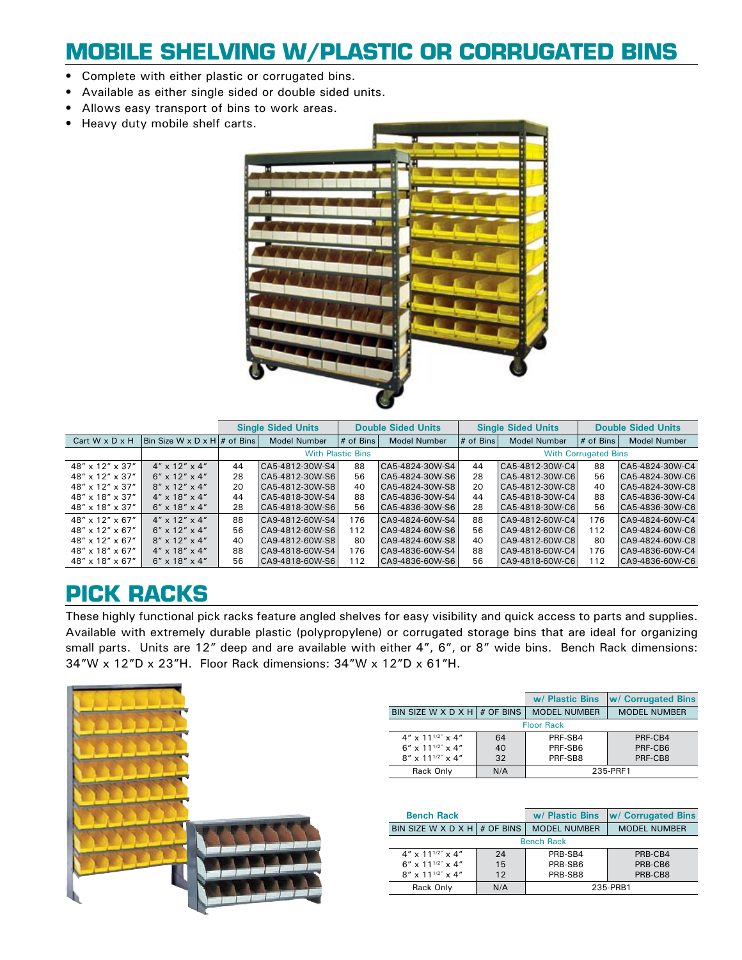## **Mobile Shelving w/Plastic or Corrugated Bins**

- Complete with either plastic or corrugated bins. •
- Available as either single sided or double sided units. •
- Allows easy transport of bins to work areas. •
- Heavy duty mobile shelf carts.



|                                |                                |    | <b>Single Sided Units</b> |             | <b>Double Sided Units</b> |             | <b>Single Sided Units</b>   |           | <b>Double Sided Units</b> |
|--------------------------------|--------------------------------|----|---------------------------|-------------|---------------------------|-------------|-----------------------------|-----------|---------------------------|
| Cart $W \times D \times H$     | Bin Size W x D x H $#$ of Bins |    | <b>Model Number</b>       | $#$ of Bins | <b>Model Number</b>       | $#$ of Bins | <b>Model Number</b>         | # of Bins | <b>Model Number</b>       |
|                                |                                |    | <b>With Plastic Bins</b>  |             |                           |             | <b>With Corrugated Bins</b> |           |                           |
| 48" x 12" x 37"                | $4'' \times 12'' \times 4''$   | 44 | CA5-4812-30W-S4           | 88          | CA5-4824-30W-S4           | 44          | $C45-4812-30W-C4$           | 88        | CA5-4824-30W-C4           |
| 48" x 12" x 37"                | $6''$ x 12" x 4"               | 28 | CA5-4812-30W-S6           | 56          | CA5-4824-30W-S6           | 28          | $ $ CA5-4812-30W-C6         | 56        | CA5-4824-30W-C6           |
| 48" x 12" x 37"                | $8'' \times 12'' \times 4''$   | 20 | CA5-4812-30W-S8           | 40          | CA5-4824-30W-S8           | 20          | $ $ CA5-4812-30W-C8         | 40        | CA5-4824-30W-C8           |
| 48" x 18" x 37"                | $4'' \times 18'' \times 4''$   | 44 | CA5-4818-30W-S4           | 88          | CA5-4836-30W-S4           | 44          | CA5-4818-30W-C4             | 88        | CA5-4836-30W-C4           |
| 48" x 18" x 37"                | $6'' \times 18'' \times 4''$   | 28 | CA5-4818-30W-S6           | 56          | CA5-4836-30W-S6           | 28          | CA5-4818-30W-C6             | 56        | CA5-4836-30W-C6           |
| $48'' \times 12'' \times 67''$ | $4'' \times 12'' \times 4''$   | 88 | CA9-4812-60W-S4           | 176         | CA9-4824-60W-S4           | 88          | CA9-4812-60W-C4             | 176       | CA9-4824-60W-C4           |
| 48" x 12" x 67"                | $6''$ x 12" x 4"               | 56 | CA9-4812-60W-S6           | 112         | CA9-4824-60W-S6           | 56          | CA9-4812-60W-C6             | 112       | CA9-4824-60W-C6           |
| $48'' \times 12'' \times 67''$ | $8'' \times 12'' \times 4''$   | 40 | CA9-4812-60W-S8           | 80          | CA9-4824-60W-S8           | 40          | CA9-4812-60W-C8             | 80        | CA9-4824-60W-C8           |
| 48" x 18" x 67"                | $4'' \times 18'' \times 4''$   | 88 | CA9-4818-60W-S4           | 176         | CA9-4836-60W-S4           | 88          | CA9-4818-60W-C4             | 176       | CA9-4836-60W-C4           |
| $48'' \times 18'' \times 67''$ | $6'' \times 18'' \times 4''$   | 56 | CA9-4818-60W-S6           | 112         | CA9-4836-60W-S6           | 56          | CA9-4818-60W-C6             | 112       | CA9-4836-60W-C6           |

### **Pick Racks**

These highly functional pick racks feature angled shelves for easy visibility and quick access to parts and supplies. Available with extremely durable plastic (polypropylene) or corrugated storage bins that are ideal for organizing small parts. Units are 12" deep and are available with either 4", 6", or 8" wide bins. Bench Rack dimensions: 34"W x 12"D x 23"H. Floor Rack dimensions: 34"W x 12"D x 61"H.



|                                    |     | w/ Plastic Bins     | <b>W</b> Corrugated Bins |  |
|------------------------------------|-----|---------------------|--------------------------|--|
| BIN SIZE W X D X H $#$ OF BINS     |     | <b>MODEL NUMBER</b> | <b>MODEL NUMBER</b>      |  |
| <b>Floor Rack</b>                  |     |                     |                          |  |
| $4'' \times 11^{1/2''} \times 4''$ | 64  | PRF-SB4             | PRF-CB4                  |  |
| $6''$ x $11^{1/2''}$ x 4"          | 40  | PRF-SB6             | PRF-CB6                  |  |
| $8'' \times 11^{1/2''} \times 4''$ | 32  | PRF-SB8             | PRF-CB8                  |  |
| Rack Only                          | N/A | 235-PRF1            |                          |  |

| <b>Bench Rack</b>                  |     | w/ Plastic Bins     | <b>W</b> Corrugated Bins |  |
|------------------------------------|-----|---------------------|--------------------------|--|
| BIN SIZE W X D X H $\#$ OF BINS    |     | <b>MODEL NUMBER</b> | <b>MODEL NUMBER</b>      |  |
| <b>Bench Rack</b>                  |     |                     |                          |  |
| $4'' \times 11^{1/2''} \times 4''$ | 24  | PRB-SB4             | PRB-CB4                  |  |
| $6''$ x $11^{1/2''}$ x 4"          | 15  | PRB-SB6             | PRB-CB6                  |  |
| $8'' \times 11^{1/2''} \times 4''$ | 12  | PRB-SB8             | PRB-CB8                  |  |
| Rack Only                          | N/A | 235-PRB1            |                          |  |